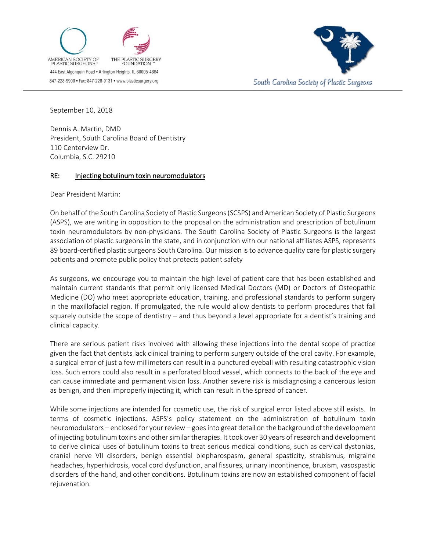



September 10, 2018

Dennis A. Martin, DMD President, South Carolina Board of Dentistry 110 Centerview Dr. Columbia, S.C. 29210

## RE: Injecting botulinum toxin neuromodulators

Dear President Martin:

On behalf of the South Carolina Society of Plastic Surgeons (SCSPS) and American Society of Plastic Surgeons (ASPS), we are writing in opposition to the proposal on the administration and prescription of botulinum toxin neuromodulators by non-physicians. The South Carolina Society of Plastic Surgeons is the largest association of plastic surgeons in the state, and in conjunction with our national affiliates ASPS, represents 89 board-certified plastic surgeons South Carolina. Our mission is to advance quality care for plastic surgery patients and promote public policy that protects patient safety

As surgeons, we encourage you to maintain the high level of patient care that has been established and maintain current standards that permit only licensed Medical Doctors (MD) or Doctors of Osteopathic Medicine (DO) who meet appropriate education, training, and professional standards to perform surgery in the maxillofacial region. If promulgated, the rule would allow dentists to perform procedures that fall squarely outside the scope of dentistry – and thus beyond a level appropriate for a dentist's training and clinical capacity.

There are serious patient risks involved with allowing these injections into the dental scope of practice given the fact that dentists lack clinical training to perform surgery outside of the oral cavity. For example, a surgical error of just a few millimeters can result in a punctured eyeball with resulting catastrophic vision loss. Such errors could also result in a perforated blood vessel, which connects to the back of the eye and can cause immediate and permanent vision loss. Another severe risk is misdiagnosing a cancerous lesion as benign, and then improperly injecting it, which can result in the spread of cancer.

While some injections are intended for cosmetic use, the risk of surgical error listed above still exists. In terms of cosmetic injections, ASPS's policy statement on the administration of botulinum toxin neuromodulators – enclosed for your review – goes into great detail on the background of the development of injecting botulinum toxins and other similar therapies. It took over 30 years of research and development to derive clinical uses of botulinum toxins to treat serious medical conditions, such as cervical dystonias, cranial nerve VII disorders, benign essential blepharospasm, general spasticity, strabismus, migraine headaches, hyperhidrosis, vocal cord dysfunction, anal fissures, urinary incontinence, bruxism, vasospastic disorders of the hand, and other conditions. Botulinum toxins are now an established component of facial rejuvenation.